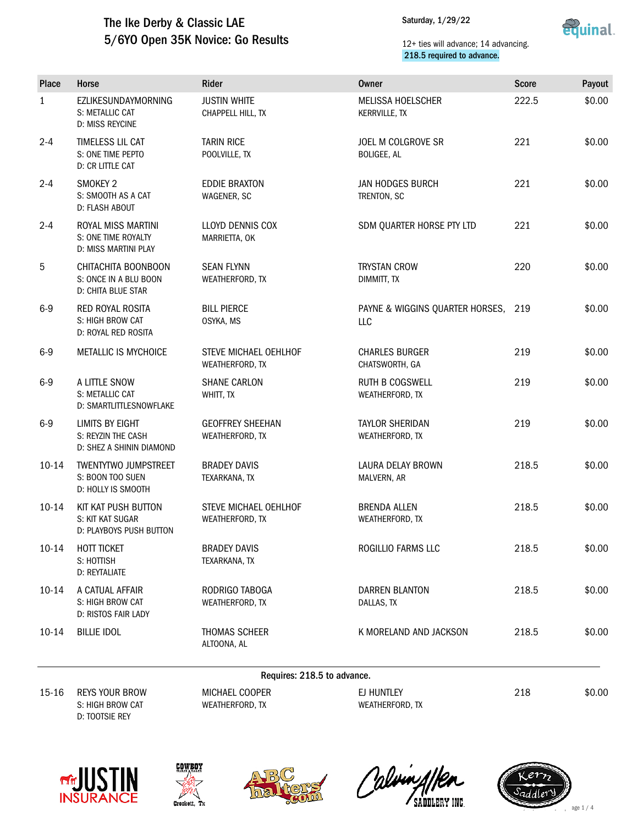### The Ike Derby & Classic LAE 5/6YO Open 35K Novice: Go Results

Saturday, 1/29/22



#### 12+ ties will advance; 14 advancing. 218.5 required to advance.

| Place        | Horse                                                                    | Rider                                           | Owner                                     | <b>Score</b> | Payout |  |  |
|--------------|--------------------------------------------------------------------------|-------------------------------------------------|-------------------------------------------|--------------|--------|--|--|
| $\mathbf{1}$ | EZLIKESUNDAYMORNING<br>S: METALLIC CAT<br><b>D: MISS REYCINE</b>         | <b>JUSTIN WHITE</b><br>CHAPPELL HILL, TX        | <b>MELISSA HOELSCHER</b><br>KERRVILLE, TX | 222.5        | \$0.00 |  |  |
| $2 - 4$      | TIMELESS LIL CAT<br>S: ONE TIME PEPTO<br>D: CR LITTLE CAT                | <b>TARIN RICE</b><br>POOLVILLE, TX              | JOEL M COLGROVE SR<br><b>BOLIGEE, AL</b>  | 221          | \$0.00 |  |  |
| $2 - 4$      | SMOKEY 2<br>S: SMOOTH AS A CAT<br>D: FLASH ABOUT                         | <b>EDDIE BRAXTON</b><br>WAGENER, SC             | <b>JAN HODGES BURCH</b><br>TRENTON, SC    | 221          | \$0.00 |  |  |
| $2 - 4$      | ROYAL MISS MARTINI<br>S: ONE TIME ROYALTY<br><b>D: MISS MARTINI PLAY</b> | LLOYD DENNIS COX<br>MARRIETTA, OK               | SDM QUARTER HORSE PTY LTD                 | 221          | \$0.00 |  |  |
| 5            | CHITACHITA BOONBOON<br>S: ONCE IN A BLU BOON<br>D: CHITA BLUE STAR       | <b>SEAN FLYNN</b><br>WEATHERFORD, TX            | <b>TRYSTAN CROW</b><br>DIMMITT, TX        | 220          | \$0.00 |  |  |
| $6-9$        | RED ROYAL ROSITA<br>S: HIGH BROW CAT<br>D: ROYAL RED ROSITA              | <b>BILL PIERCE</b><br>OSYKA, MS                 | PAYNE & WIGGINS QUARTER HORSES,<br>LLC    | 219          | \$0.00 |  |  |
| $6-9$        | METALLIC IS MYCHOICE                                                     | <b>STEVE MICHAEL OEHLHOF</b><br>WEATHERFORD, TX | <b>CHARLES BURGER</b><br>CHATSWORTH, GA   | 219          | \$0.00 |  |  |
| $6-9$        | A LITTLE SNOW<br>S: METALLIC CAT<br>D: SMARTLITTLESNOWFLAKE              | <b>SHANE CARLON</b><br>WHITT, TX                | <b>RUTH B COGSWELL</b><br>WEATHERFORD, TX | 219          | \$0.00 |  |  |
| $6-9$        | LIMITS BY EIGHT<br>S: REYZIN THE CASH<br>D: SHEZ A SHININ DIAMOND        | <b>GEOFFREY SHEEHAN</b><br>WEATHERFORD, TX      | <b>TAYLOR SHERIDAN</b><br>WEATHERFORD, TX | 219          | \$0.00 |  |  |
| $10 - 14$    | <b>TWENTYTWO JUMPSTREET</b><br>S: BOON TOO SUEN<br>D: HOLLY IS SMOOTH    | <b>BRADEY DAVIS</b><br>TEXARKANA, TX            | LAURA DELAY BROWN<br>MALVERN, AR          | 218.5        | \$0.00 |  |  |
| $10 - 14$    | KIT KAT PUSH BUTTON<br>S: KIT KAT SUGAR<br>D: PLAYBOYS PUSH BUTTON       | STEVE MICHAEL OEHLHOF<br>WEATHERFORD, TX        | <b>BRENDA ALLEN</b><br>WEATHERFORD, TX    | 218.5        | \$0.00 |  |  |
| $10 - 14$    | HOTT TICKET<br>S: HOTTISH<br>D: REYTALIATE                               | <b>BRADEY DAVIS</b><br>TEXARKANA, TX            | ROGILLIO FARMS LLC                        | 218.5        | \$0.00 |  |  |
| $10-14$      | A CATUAL AFFAIR<br>S: HIGH BROW CAT<br>D: RISTOS FAIR LADY               | RODRIGO TABOGA<br>WEATHERFORD, TX               | DARREN BLANTON<br>DALLAS, TX              | 218.5        | \$0.00 |  |  |
| $10-14$      | <b>BILLIE IDOL</b>                                                       | THOMAS SCHEER<br>ALTOONA, AL                    | K MORELAND AND JACKSON                    | 218.5        | \$0.00 |  |  |
|              | Requires: 218.5 to advance.                                              |                                                 |                                           |              |        |  |  |
| $15 - 16$    | <b>REYS YOUR BROW</b><br>S: HIGH BROW CAT<br>D: TOOTSIE REY              | MICHAEL COOPER<br>WEATHERFORD, TX               | EJ HUNTLEY<br>WEATHERFORD, TX             | 218          | \$0.00 |  |  |









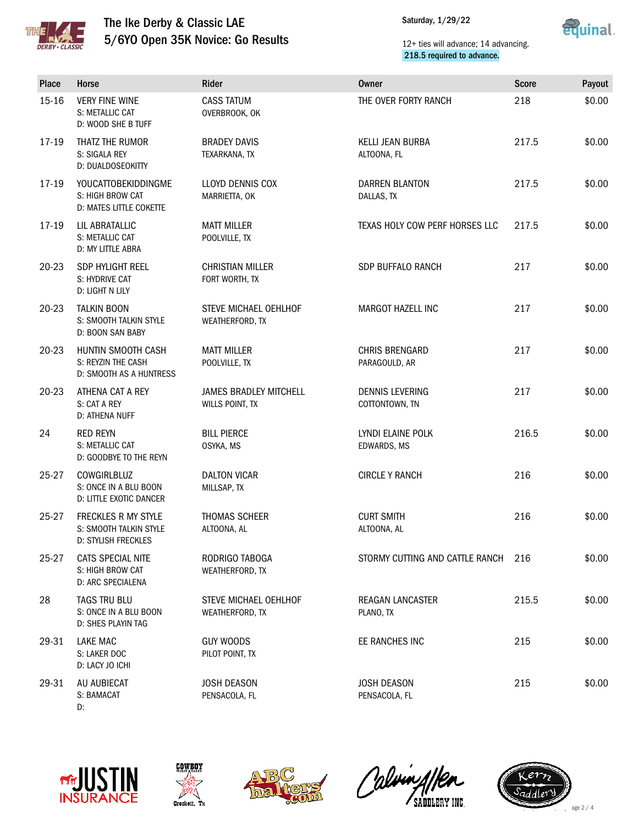

## The Ike Derby & Classic LAE 5/6YO Open 35K Novice: Go Results

Saturday, 1/29/22



#### 12+ ties will advance; 14 advancing. 218.5 required to advance.

| Place     | Horse                                                                     | <b>Rider</b>                                     | <b>Owner</b>                           | <b>Score</b> | Payout |
|-----------|---------------------------------------------------------------------------|--------------------------------------------------|----------------------------------------|--------------|--------|
| $15 - 16$ | <b>VERY FINE WINE</b><br>S: METALLIC CAT<br>D: WOOD SHE B TUFF            | <b>CASS TATUM</b><br>OVERBROOK, OK               | THE OVER FORTY RANCH                   | 218          | \$0.00 |
| 17-19     | THATZ THE RUMOR<br>S: SIGALA REY<br>D: DUALDOSEOKITTY                     | <b>BRADEY DAVIS</b><br>TEXARKANA, TX             | KELLI JEAN BURBA<br>ALTOONA, FL        | 217.5        | \$0.00 |
| 17-19     | <b>YOUCATTOBEKIDDINGME</b><br>S: HIGH BROW CAT<br>D: MATES LITTLE COKETTE | LLOYD DENNIS COX<br>MARRIETTA, OK                | DARREN BLANTON<br>DALLAS, TX           | 217.5        | \$0.00 |
| 17-19     | LIL ABRATALLIC<br>S: METALLIC CAT<br>D: MY LITTLE ABRA                    | <b>MATT MILLER</b><br>POOLVILLE, TX              | TEXAS HOLY COW PERF HORSES LLC         | 217.5        | \$0.00 |
| 20-23     | SDP HYLIGHT REEL<br>S: HYDRIVE CAT<br>D: LIGHT N LILY                     | <b>CHRISTIAN MILLER</b><br>FORT WORTH, TX        | SDP BUFFALO RANCH                      | 217          | \$0.00 |
| 20-23     | <b>TALKIN BOON</b><br>S: SMOOTH TALKIN STYLE<br>D: BOON SAN BABY          | STEVE MICHAEL OEHLHOF<br>WEATHERFORD, TX         | MARGOT HAZELL INC                      | 217          | \$0.00 |
| $20 - 23$ | HUNTIN SMOOTH CASH<br>S: REYZIN THE CASH<br>D: SMOOTH AS A HUNTRESS       | <b>MATT MILLER</b><br>POOLVILLE, TX              | <b>CHRIS BRENGARD</b><br>PARAGOULD, AR | 217          | \$0.00 |
| 20-23     | ATHENA CAT A REY<br>S: CAT A REY<br>D: ATHENA NUFF                        | <b>JAMES BRADLEY MITCHELL</b><br>WILLS POINT, TX | DENNIS LEVERING<br>COTTONTOWN, TN      | 217          | \$0.00 |
| 24        | <b>RED REYN</b><br>S: METALLIC CAT<br>D: GOODBYE TO THE REYN              | <b>BILL PIERCE</b><br>OSYKA, MS                  | LYNDI ELAINE POLK<br>EDWARDS, MS       | 216.5        | \$0.00 |
| 25-27     | COWGIRLBLUZ<br>S: ONCE IN A BLU BOON<br>D: LITTLE EXOTIC DANCER           | <b>DALTON VICAR</b><br>MILLSAP, TX               | <b>CIRCLE Y RANCH</b>                  | 216          | \$0.00 |
| 25-27     | FRECKLES R MY STYLE<br>S: SMOOTH TALKIN STYLE<br>D: STYLISH FRECKLES      | <b>THOMAS SCHEER</b><br>ALTOONA, AL              | <b>CURT SMITH</b><br>ALTOONA, AL       | 216          | \$0.00 |
| 25-27     | CATS SPECIAL NITE<br>S: HIGH BROW CAT<br>D: ARC SPECIALENA                | RODRIGO TABOGA<br>WEATHERFORD, TX                | STORMY CUTTING AND CATTLE RANCH        | 216          | \$0.00 |
| 28        | TAGS TRU BLU<br>S: ONCE IN A BLU BOON<br>D: SHES PLAYIN TAG               | STEVE MICHAEL OEHLHOF<br>WEATHERFORD, TX         | <b>REAGAN LANCASTER</b><br>PLANO, TX   | 215.5        | \$0.00 |
| 29-31     | LAKE MAC<br>S: LAKER DOC<br>D: LACY JO ICHI                               | <b>GUY WOODS</b><br>PILOT POINT, TX              | EE RANCHES INC                         | 215          | \$0.00 |
| 29-31     | AU AUBIECAT<br>S: BAMACAT<br>D:                                           | <b>JOSH DEASON</b><br>PENSACOLA, FL              | <b>JOSH DEASON</b><br>PENSACOLA, FL    | 215          | \$0.00 |









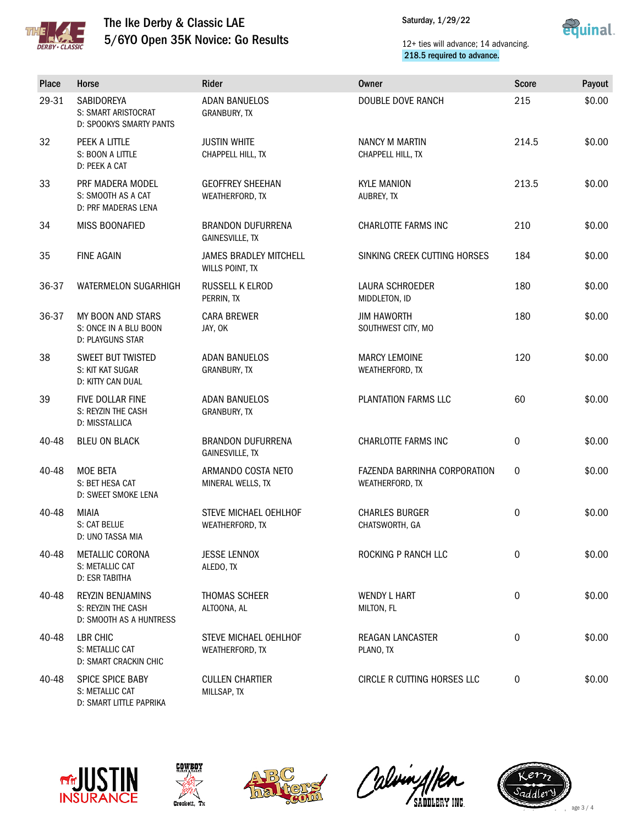

### The Ike Derby & Classic LAE 5/6YO Open 35K Novice: Go Results



#### 12+ ties will advance; 14 advancing. 218.5 required to advance.

| Place | Horse                                                             | Rider                                              | Owner                                           | <b>Score</b> | Payout |
|-------|-------------------------------------------------------------------|----------------------------------------------------|-------------------------------------------------|--------------|--------|
| 29-31 | SABIDOREYA<br>S: SMART ARISTOCRAT<br>D: SPOOKYS SMARTY PANTS      | <b>ADAN BANUELOS</b><br>GRANBURY, TX               | <b>DOUBLE DOVE RANCH</b>                        | 215          | \$0.00 |
| 32    | PEEK A LITTLE<br>S: BOON A LITTLE<br>D: PEEK A CAT                | <b>JUSTIN WHITE</b><br>CHAPPELL HILL, TX           | NANCY M MARTIN<br>CHAPPELL HILL, TX             | 214.5        | \$0.00 |
| 33    | PRF MADERA MODEL<br>S: SMOOTH AS A CAT<br>D: PRF MADERAS LENA     | <b>GEOFFREY SHEEHAN</b><br>WEATHERFORD, TX         | <b>KYLE MANION</b><br>AUBREY, TX                | 213.5        | \$0.00 |
| 34    | <b>MISS BOONAFIED</b>                                             | <b>BRANDON DUFURRENA</b><br><b>GAINESVILLE, TX</b> | CHARLOTTE FARMS INC                             | 210          | \$0.00 |
| 35    | <b>FINE AGAIN</b>                                                 | <b>JAMES BRADLEY MITCHELL</b><br>WILLS POINT, TX   | SINKING CREEK CUTTING HORSES                    | 184          | \$0.00 |
| 36-37 | WATERMELON SUGARHIGH                                              | RUSSELL K ELROD<br>PERRIN, TX                      | LAURA SCHROEDER<br>MIDDLETON, ID                | 180          | \$0.00 |
| 36-37 | MY BOON AND STARS<br>S: ONCE IN A BLU BOON<br>D: PLAYGUNS STAR    | <b>CARA BREWER</b><br>JAY, OK                      | <b>JIM HAWORTH</b><br>SOUTHWEST CITY, MO        | 180          | \$0.00 |
| 38    | <b>SWEET BUT TWISTED</b><br>S: KIT KAT SUGAR<br>D: KITTY CAN DUAL | <b>ADAN BANUELOS</b><br>GRANBURY, TX               | <b>MARCY LEMOINE</b><br>WEATHERFORD, TX         | 120          | \$0.00 |
| 39    | FIVE DOLLAR FINE<br>S: REYZIN THE CASH<br>D: MISSTALLICA          | <b>ADAN BANUELOS</b><br>GRANBURY, TX               | PLANTATION FARMS LLC                            | 60           | \$0.00 |
| 40-48 | <b>BLEU ON BLACK</b>                                              | <b>BRANDON DUFURRENA</b><br>GAINESVILLE, TX        | CHARLOTTE FARMS INC                             | 0            | \$0.00 |
| 40-48 | <b>MOE BETA</b><br>S: BET HESA CAT<br>D: SWEET SMOKE LENA         | ARMANDO COSTA NETO<br>MINERAL WELLS, TX            | FAZENDA BARRINHA CORPORATION<br>WEATHERFORD, TX | $\mathbf 0$  | \$0.00 |
| 40-48 | <b>MIAIA</b><br>S: CAT BELUE<br>D: UNO TASSA MIA                  | STEVE MICHAEL OEHLHOF<br>WEATHERFORD, TX           | <b>CHARLES BURGER</b><br>CHATSWORTH, GA         | 0            | \$0.00 |
| 40-48 | METALLIC CORONA<br>S: METALLIC CAT<br>D: ESR TABITHA              | <b>JESSE LENNOX</b><br>ALEDO, TX                   | ROCKING P RANCH LLC                             | 0            | \$0.00 |
| 40-48 | REYZIN BENJAMINS<br>S: REYZIN THE CASH<br>D: SMOOTH AS A HUNTRESS | <b>THOMAS SCHEER</b><br>ALTOONA, AL                | <b>WENDY L HART</b><br>MILTON, FL               | 0            | \$0.00 |
| 40-48 | LBR CHIC<br>S: METALLIC CAT<br>D: SMART CRACKIN CHIC              | STEVE MICHAEL OEHLHOF<br>WEATHERFORD, TX           | REAGAN LANCASTER<br>PLANO, TX                   | 0            | \$0.00 |
| 40-48 | SPICE SPICE BABY<br>S: METALLIC CAT<br>D: SMART LITTLE PAPRIKA    | <b>CULLEN CHARTIER</b><br>MILLSAP, TX              | CIRCLE R CUTTING HORSES LLC                     | 0            | \$0.00 |











age 3 / 4